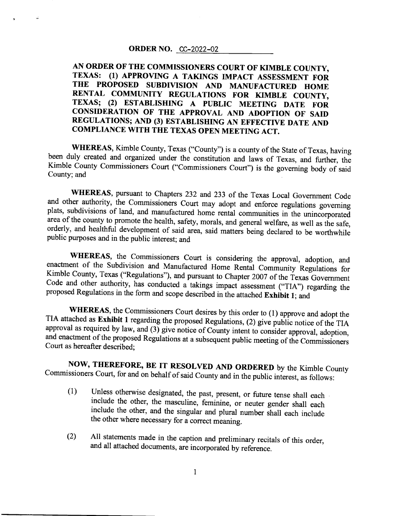#### ORDER NO. CC-2022-02

# AN ORDER OF THE COMMISSIONERS COURT OF KIMBLE COUNTY, TEXAS: (1) APPROVING A TAKINGS IMPACT ASSESSMENT FoR THE PROPOSED SUBDIVISION AND MANUFACTURED HOME RENTAL COMMUNITY REGULATIONS FOR KIMBLE COUNTY, TEXAS; (2) ESTABLISHING A PUBLIC MEETING DATE FOR CONSIDERATION OF THE APPROVAL AND ADOPTION OF SAID REGULATIONS; AND (3) ESTABLISHING AN EFFECTIVE DATE AND COMPLIANCE WITH THE TEXAS OPEN MEETING ACT.

WHEREAS, Kimble County, Texas ("County") is a county of the State of Texas, having<br>been duly created and organized under the constitution and laws of Texas, and further, the Kimble County Commissioners Court ("Commissioners Court") is the governing body of said County; and

WHEREAS, pursuant to Chapters 232 and 233 of the Texas Local Government Code and other authority, the Commissioners Court may adopt and enforce regulations governing plats, subdivisions of land, and manufactured home rental communities in the unincorporated area of the county to promote the health, safety, morals, and general welfare, as well as the safe, orderly, and healthful development of said area, said matters being declared to be worthwhile public purposes and in the public interest; and

WHEREAS, the Commissioners Court is considering the approval, adoption, and<br>enactment of the Subdivision and Manufactured Home Rental Community Regulations for<br>Kimble County, Texas ("Regulations"), and pursuant to Chapter

WHEREAS, the Commissioners Court desires by this order to (1) approve and adopt the TIA attached as **Exhibit 1** regarding the proposed Regulations, (2) give public notice of the TIA approval as required by law, and (3) giv

NOW, THEREFORE, BE IT RESOLVED AND ORDERED by the Kimble County commissioners Court, for and on behalf of said County and in the public inierest, as follows:

- (1) Unless otherwise designated, the past, present, or future tense shall each include the other, the masculine, feminine, or neuter gender shall each include the other, and the singular and plural number shall each include the other where necessary for a correct meaning.
- (2) All statements made in the caption and preliminary recitals of this order, and all attached documents, are incorporated by reference.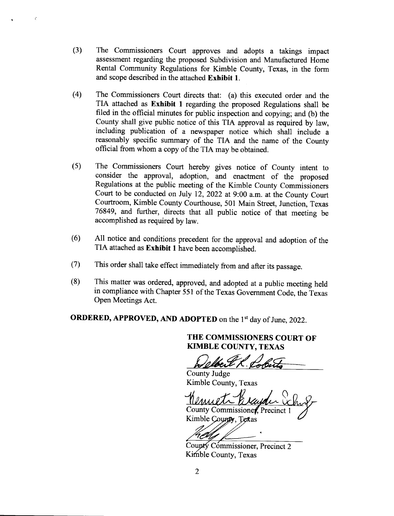(3) The Commissioners Court approves and adopts a takings impact assessment regarding the proposed Subdivision and Manufactured Home Rental Community Regulations for Kimble County, Texas, in the form and scope described in the attached Exhibit 1.

 $\epsilon$ 

- The Commissioners Court directs that: (a) this executed order and the TIA attached as Exhibit I regarding the proposed Regulations shall be filed in the official minutes for public inspection and copying; and (b) the county shall give public notice of this TIA approval as required by law, including publication of a newspaper notice which shall include <sup>a</sup> reasonably specific summary of the TIA and the name of the county official from whom a copy of the TIA may be obtained. (4)
- The commissioners court hereby gives notice of county intent to consider the approval, adoption, and enactment of the proposed Regulations at the public meeting of the Kimble county commissioners court to be conducted on July 12, 2022 at 9:00 a.m. at the county court courtroom, Kimble county courthouse, 501 Main Street, Junction, Texas 76849, and further, directs that all public notice of that meeting be accomplished as required by law.  $(5)$
- All notice and conditions precedent for the approval and adoption of the TIA attached as Exhibit I have been accomplished. (6)
- This order shall take effect immediately from and after its passage. (7)
- This matter was ordered, approved, and adopted at a public meeting held in compliance with chapter 551 of the Texas Govemment code. the Texas Open Meetings Act. (8)

ORDERED, APPROVED, AND ADOPTED on the 1<sup>st</sup> day of June, 2022.

THE COMMISSIONERS COURT OF KIMBLE COUNTY. TEXAS

County Judge Kimble County, Texas

County Commissioner, Precinct 1 Kimble County, Texas

Commissioner, Precinct 2 Kimble County, Texas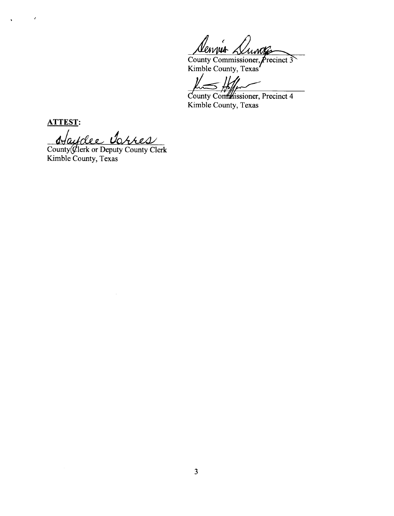County Commissioner Kimble Countv. Texas

 $\mathcal{V}$ 

County Confinissioner, Precinct 4 Kimble County, Texas

ATTEST:

 $\epsilon$ 

Haydee Torres

County Clerk or Deputy County Clerk Kimble County, Texas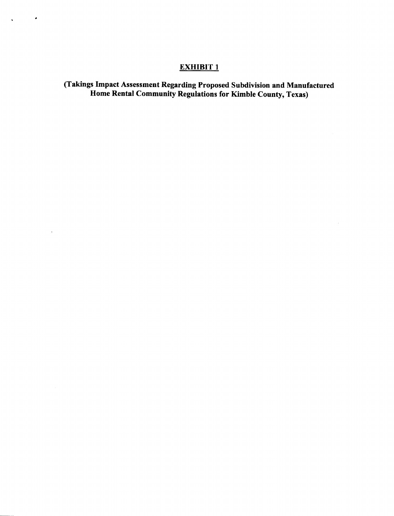# EXHIBIT<sub>1</sub>

 $\mathcal{A}$ 

 $\sim 10^{11}$  km  $^{-1}$ 

 $\Delta \sim 10^4$ 

(Takings Impact Assessment Regarding Proposed Subdivision and Manufactured Home Rental Community Regulations for Kimble County, Texas)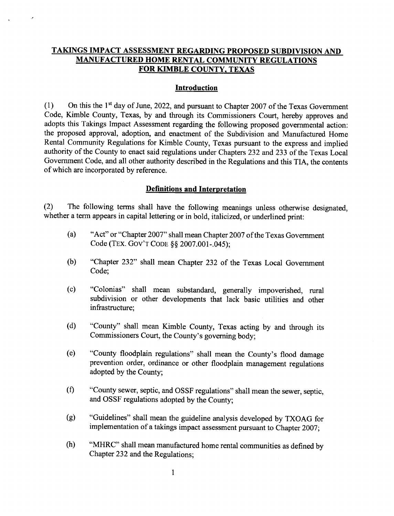# TAKINGS IMPACT ASSESSMENT REGARDING PROPOSED SUBDIVISION AND MANUFACTURED HOME RENTAL COMMUNITY REGULATIONS FOR KIMBLE COUNTY. TEXAS

Ł

#### **Introduction**

(1) On this the 1<sup>st</sup> day of June, 2022, and pursuant to Chapter 2007 of the Texas Government Code, Kimble County, Texas, by and through its Commissioners Court, hereby approves and adopts this Takings Impact Assessment regarding the following proposed governmental action: the proposed approval, adoption, and enactment of the Subdivision and Manufactured Home Rental Community Regulations for Kimble County, Texas pursuant to the express and implied authority of the County to enact said regulations under Chapters 232 and 233 of the Texas Local Government Code, and all other authority described in the Regulations and this TIA, the contents of which are incorporated by reference.

## Definitions and Interoretation

(2) The following terms shall have the following meanings unless otherwise designated, whether a term appears in capital lettering or in bold, italicized, or underlined print:

- (a) "Act" or "Chapter 2007" shall mean Chapter 2007 of the Texas Government Code (TEX. GOV'T CODE § \$2007.001-.045);
- (b) "chapter 232" shall mean chapter 232 of the Texas Local Govemment Code:
- (c) "Colonias" shall mean substandard, generally impoverished, rural subdivision or other developments that lack basic utilities and other infrastructure;
- (d) "County" shall mean Kimble County, Texas acting by and through its Commissioners Court, the County's governing body;
- (e) "County floodplain regulations" shall mean the County's flood damage prevention order, ordinance or other floodplain management regulations adopted by the County;
- "county sewer, septic, and osSF regulations" shall mean the sewer, septic, and OSSF regulations adopted by the County;  $(f)$
- "Guidelines" shall mean the guideline analysis developed by TXOAG for implementation of a takings impact assessment pursuant to chapter 2007; (e)
- "MHRC" shall mean manufactured home rental communities as defined by Chapter 232 and the Regulations; (h)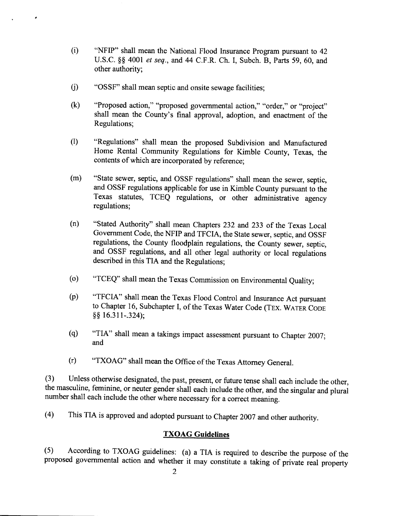- (i) "NFIP" shall mean the National Flood lnsurance Program pursuant to <sup>42</sup> U.S.C. \$\$ 4001 et seq., and 44 C.F.R. Ch. I, Subch. B, Parts 59, 60, and other authority;
- 0) "OSSF" shall mean septic and onsite sewage facilities;
- (k) "Proposed action," "proposed goverrrmental action," "order," or "project" shall mean the County's final approval, adoption, and enactment of the Regulations;
- 0) "Regulations" shall mean the proposed Subdivision and Manufactured Home Rental Community Regulations for Kimble County, Texas, the contents of which are incorporated by reference;
- (m) "State sewer, septic, and OSSF regulations" shall mean the sewer, septic, and OSSF regulations applicable for use in Kimble County pursuant to the Texas statutes, TCEQ regulations, or other administrative agency regulations;
- (n) "Stated Authority" shall mean Chapters 232 and,233 of the Texas Local Government Code, the NFIP and TFCIA, the State sewer, septic, and OSSF regulations, the County floodplain regulations, the County sewer, septic, and OSSF regulations, and all other legal authority or local regulations described in this TIA and the Regulations;
- (o) "TCEQ" shall mean the Texas Commission on Environmental Quality;
- (p) "TFCIA" shall mean the Texas Flood Control and Insurance Act pursuant to Chapter 16, Subchapter I, of the Texas Water Code (TEX. WATER CODE  $$§ 16.311-.324$ :
- (q) "TIA" shall mean a takings impact assessment pursuant to Chapter 2007; and
- G) "TXOAG" shall mean the office of the Texas Attorney General.

(3) Unless otherwise designated, the past, present, or future tense shall each include the other, the masculine, feminine, or neuter gender shall each include the other, and the singular and plurai number shall each include the other where necessary for a correct meaning.

(4) This TIA is approved and adopted pursuant to Chapter 2007 andother authority.

# **TXOAG** Guidelines

(5) According to TXoAG guidelines: (a) a TIA is required to describe the purpose of the proposed govemmental action and whether it may constitute a taking of private real property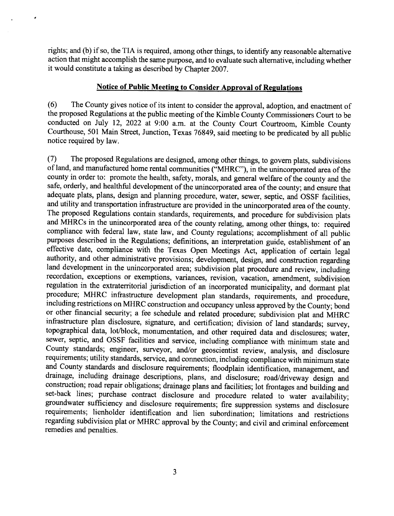rights; and (b) if so, the TIA is required, among other things, to identify any reasonable alternative action that might accomplish the same purpose, and to evaluate such alternative, including whether it would constitute a taking as described by Chapter 2007.

## Notice of Public Meeting to Consider Approval of Regulations

(6) The County gives notice of its intent to consider the approval, adoption, and enactment of the proposed Regulations at the public meeting of the Kimble County Commissioners Court to be conducted on July 12, 2022 at 9:00 a.m. at the County Court Courtroom, Kimble County Courthouse, 501 Main Street, Junction, Texas 76849, said meeting to be predicated by all public notice required by law.

(7) The proposed Regulations are designed, among other things, to govern plats, subdivisions of land, and manufactured home rental communities ("MHRC"), in the unincorporated area of the county in order to: promote the health, safety, morals, and general welfare of the county and the safe, orderly, and healthful development of the unincorporated area of the county; and ensure that adequate plats, plans, design and planning procedure, water, sewer, septic, and OSSF facilities, and utility and transportation infrastructure are provided in the unincorporated area of the county. The proposed Regulations contain standards, requirements, and procedure for subdivision plats and MHRCs in the unincorporated area of the county relating, among other things, to: required compliance with federal law, state law, and County regulations; accomplishment of all public purposes described in the Regulations; definitions, an interpretation guide, establishment of an effective date, compliance with the Texas Open Meetings Act, application of certain legal authority, and other administrative provisions; development, design, and construction regardirg land development in the unincorporated area; subdivision plat procedure and review, including recordation, exceptions or exemptions, variances, revision, vacation, amendment, subdivision regulation in the extraterritorial jurisdiction of an incorporated municipality, and dormant plat procedure; MHRC infrastructure development plan standards, requirements, and procedure, including restrictions on MHRC construction and occupancy unless approved by the County; bond or other financial security; a fee schedule and related procedure; subdivision plat and MHRC infrastructure plan disclosure, signature, and certification; division of land standards; survey, topographical data, lot/block, monumentation, and other required data and disclosures; water, sewer, septic, and OSSF facilities and service, including compliance with minimum state and County standards; engineer, suryeyor, and/or geoscientist review, analysis, and disclosure requirements; utility standards, service, and connection, including compliance with minimum state and County standards and disclosure requirements; floodplain identification, management, and drainage, including drainage descriptions, plans, and disclosure; road/driveway design and construction; road repair obligations; drainage plans and facilities; lot frontages and building and set-back lines; purchase contract disclosure and procedure related to water availability; groundwater sufficiency and disclosure requirements; fire suppression systems and disclosure requirements; lienholder identification and lien subordination; limitaiions and restrictions regarding subdivision plat or MHRC approval by the County; and civil and criminal enforcement remedies and penalties.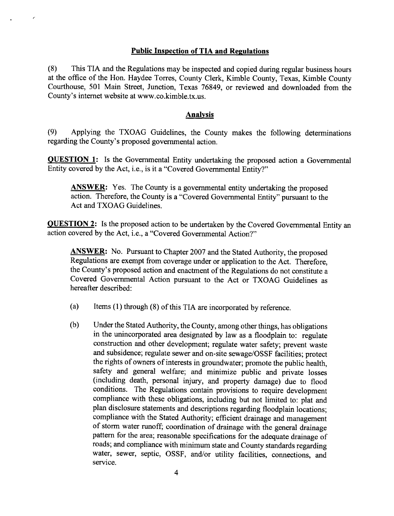## Public Inspection of TIA and Regulations

 $\epsilon$ 

(8) This TIA and the Regulations may be inspected and copied during regular business hours at the office of the Hon. Haydee Torres, County Clerk, Kimble County, Texas, Kimble County Courthouse, 501 Main Street, Junction, Texas 76849, or reviewed and downloaded from the County's internet website at www.co.kimble.tx.us.

## Analvsis

(9) Applying the TXOAG Guidelines, the County makes the following determinations regarding the County's proposed governmental action.

**QUESTION 1:** Is the Governmental Entity undertaking the proposed action a Governmental Entity covered by the Act, i.e., is it a "Covered Governmental Entity?"

ANSWER: Yes. The County is a governmental entity undertaking the proposed action. Therefore, the County is a "Covered Governmental Entity" pursuant to the Act and TXOAG Guidelines.

**QUESTION 2:** Is the proposed action to be undertaken by the Covered Governmental Entity an action covered by the Act, i.e., a "Covered Governmental Action?"

**ANSWER:** No. Pursuant to Chapter 2007 and the Stated Authority, the proposed Regulations are exempt from coverage under or application to the Act. Therefore, the County's proposed action and enactment of the Regulations do not constitute <sup>a</sup> Covered Governmental Action pursuant to the Act or TXOAG Guidelines as hereafter described:

- (a) Items (1) through (8) of this TIA are incorporated by reference.
- (b) Under the Stated Authority, the County, among other things, has obligations in the unincorporated area designated by law as a floodplain to: regulate construction and other development; regulate water safety; prevent waste and subsidence; regulate sewer and on-site sewage/oSSF facilities; protect the rights of owners of interests in groundwater; promote the public health, safety and general welfare; and minimize public and private losses (including death, personal injury, and property damage) due to flood conditions. The Regulations contain provisions to require development compliance with these obligations, including but not limited to: plat and plan disclosure statements and descriptions regarding floodplain locations; compliance with the stated Authority; efficient drainage and management of storm water runoff; coordination of drainage with the general drainage pattern for the area; reasonable specifications for the adequate drainage of roads; and compliance with minimum state and County standards regarding water, sewer, septic, OSSF, and/or utility facilities, connections, and service.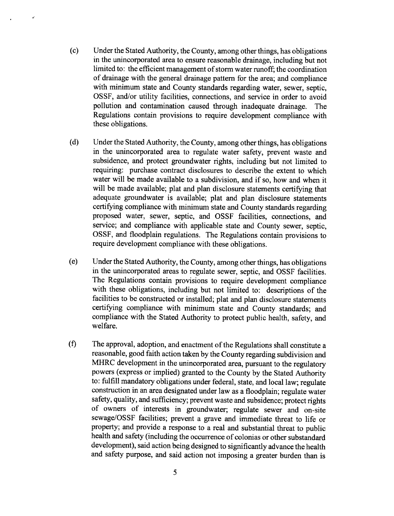- (c) Under the Stated Authority, the County, among other things, has obligations in the unincorporated area to ensure reasonable drainage, including but not limited to: the efficient management of storm water runoff; the coordination of drainage with the general drainage pattem for the area; and compliance with minimum state and County standards regarding water, sewer, septic, OSSF, and/or utility facilities, connections, and service in order to avoid pollution and contamination caused through inadequate drainage. The Regulations contain provisions to require development compliance with these obligations.
- (d) Under the Stated Authority, the County, among other things, has obligations in the unincorporated area to regulate water safety, prevent waste and subsidence, and protect groundwater rights, including but not limited to requiring: purchase contract disclosures to describe the extent to which water will be made available to a subdivision, and if so, how and when it will be made available; plat and plan disclosure statements certifying that adequate groundwater is available; plat and plan disclosure statements certifying compliance with minimum state and County standards regarding proposed water, sewer, septic, and OSSF facilities, connections, and service; and compliance with applicable state and County sewer, septic, ossF, and floodplain regulations. The Regulations contain provisions to require development compliance with these obligations.
- (e) Under the stated Authority, the county, among other things, has obligations in the unincorporated areas to regulate sewer, septic, and oSSF facilities. The Regulations contain provisions to require development compliance with these obligations, including but not limited to: descriptions of the facilities to be constructed or installed; plat and plan disclosure statements certifying compliance with minimum state and County standards; and compliance with the Stated Authority to protect public health, safety, and welfare.
- The approval, adoption, and enactment of the Regulations shall constitute a reasonable, good faith action taken by the County regarding subdivision and MHRC development in the unincorporated area, pursuant to the regulatory powers (express or implied) granted to the county by the Stated Authority to: fulfill mandatory obligations under federal, state, and local law; regulate construction in an area designated under law as a floodplain; regulate water safety, quality, and sufficiency; prevent waste and subsidence; protect rights of owners of interests in groundwater; regulate sewer and on-site sewage/oSSF facilities; prevent a grave and immediate threat to life or property; and provide a response to a real and substantial threat to public health and safety (including the occurrence of colonias or other substandard development), said action being designed to significantly advance the health and safety purpose, and said action not imposing a greater burden than is (f)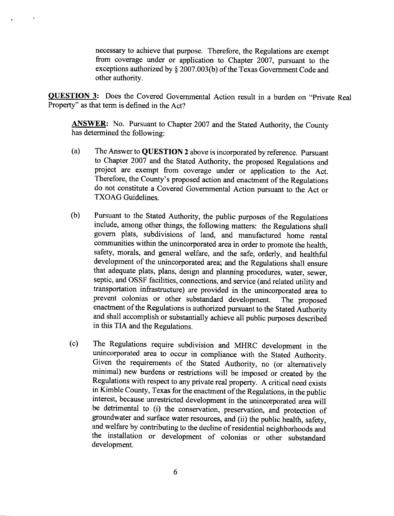necessary to achieve that purpose. Therefore, the Regulations are exempt from coverage under or application to Chapter 2007, pursuant to the exceptions authorized by \$ 2007.003(b) of the Texas Government Code and other authority.

OUESTION 3: Does the Covered Governmental Action result in a burden on "Private Real Property" as that term is defined in the Act?

ANSWER: No. Pursuant to Chapter 2007 and the Stated Authority, the County has determined the following:

- (a) The Answer to QUESTION 2 above is incorporated by reference. Pursuant to Chapter 2007 and the Stated Authority, the proposed Regulations and project are exempt from coverage under or application to the Act. Therefore, the County's proposed action and enactment of the Regulations do not constitute a Covered Governmental Action pursuant to the Act or TXOAG Guidelines.
- (b) Pursuant to the Stated Authority, the public purposes of the Regulations include, among other things, the following matters: the Regulations shall govern plats, subdivisions of land, and manufactured home rental communities within the unincorporated area in order to promote the health, safety, morals, and general welfare, and the safe, orderly, and healthful development of the unincorporated area; and the Regulations shall ensure that adequate plats, plans, design and planning procedures, water, sewer, septic, and oSSF facilities, connections, and service (and related utility and transportation infrastructure) are provided in the unincorporated area to prevent colonias or other substandard development. The proposed enactment of the Regulations is authorized pursuant to the Stated Authority and shall accomplish or substantially achieve all public purposes described in this TIA and the Regulations.
- The Regulations require subdivision and MHRC development in the unincorporated area to occur in compliance with the Stated Authority. Given the requirements of the Stated Authority, no (or alternativeiy minimal) new burdens or restrictions will be imposed or created by the Regulations with respect to any private real property. A critical need exists in Kimble county, Texas for the enactment of the Regulations, in the public interest, because unrestricted development in the unincorporated area will be detrimental to (i) the conservation, preservation, and protection of groundwater and surface water resources, and (ii) the public health, safety, the installation or development of colonias or other substandard development. (c)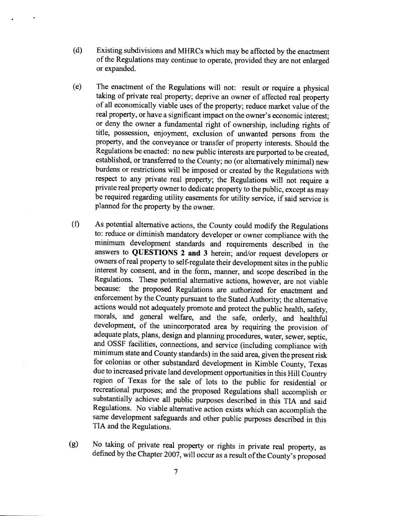- (d) Existing subdivisions and MHRCs which may be affected by the enactment of the Regulations may continue to operate, provided they are not enlarged or expanded.
- (e) The enactment of the Regulations will not: result or require a physical taking of private real property; deprive an owner of affected real property of all economically viable uses of the property; reduce market value of the real property, or have a significant impact on the owner's economic interest; or deny the owner a fundamental right of ownership, including rights of title, possession, enjoyment, exclusion of unwanted persons from the property, and the conveyance or transfer of property interests. Should the Regulations be enacted: no new public interests are purported to be created, established, or transferred to the County; no (or altematively minimal) new burdens or restrictions will be imposed or created by the Regulations with respect to any private real property; the Regulations will not require <sup>a</sup> private real property owner to dedicate property to the public, except as may be required regarding utility easements for utility service, if said service is planned for the property by the owner.
- (0 As potential alternative actions, the County could modifo the Regulations to: reduce or diminish mandatory developer or owner compliance with the minimum development standards and requirements described in the answers to QUESTIONS 2 and 3 herein; and/or request developers or owners of real property to self-regulate their development sites in the public interest by consent, and in the form, manner, and scope described in the Regulations. These potential alternative actions, however, are not viable<br>because: the proposed Regulations are authorized for enactment and the proposed Regulations are authorized for enactment and enforcement by the County pursuant to the Stated Authority; the alternative actions would not adequately promote and protect the public health, safety, morals, and general welfare, and the safe, orderly, and healthful development, of the unincorporated area by requiring the provision of adequate plats, plans, design and planning procedures, water, sewer, septic, and OSSF facilities, connections, and service (including compliance with minimum state and County standards) in the said area, given the present risk for colonias or other substandard development in Kimble County, Texas due to increased private land development opportunities in this Hill Country region of Texas for the sale of lots to the public for residential or recreational purposes; and the proposed Regulations shall accomplish or substantially achieve all public purposes described in this TIA and said Regulations. No viable alternative action exists which can accomplish the same development safeguards and other public purposes described in this TIA and the Regulations.
- (g) No taking of private real property or rights in private real property, as defined by the Chapter 2007, will occur as a result of the County's proposed